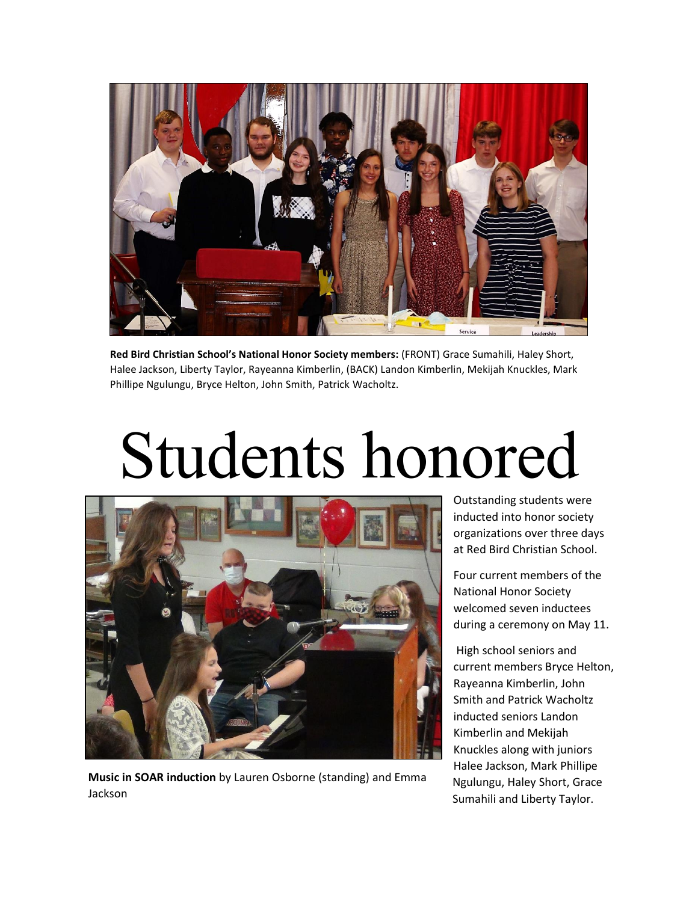

**Red Bird Christian School's National Honor Society members:** (FRONT) Grace Sumahili, Haley Short, Halee Jackson, Liberty Taylor, Rayeanna Kimberlin, (BACK) Landon Kimberlin, Mekijah Knuckles, Mark Phillipe Ngulungu, Bryce Helton, John Smith, Patrick Wacholtz.

## Students honored



**Music in SOAR induction** by Lauren Osborne (standing) and Emma Jackson

Outstanding students were inducted into honor society organizations over three days at Red Bird Christian School.

Four current members of the National Honor Society welcomed seven inductees during a ceremony on May 11.

High school seniors and current members Bryce Helton, Rayeanna Kimberlin, John Smith and Patrick Wacholtz inducted seniors Landon Kimberlin and Mekijah Knuckles along with juniors Halee Jackson, Mark Phillipe Ngulungu, Haley Short, Grace Sumahili and Liberty Taylor.